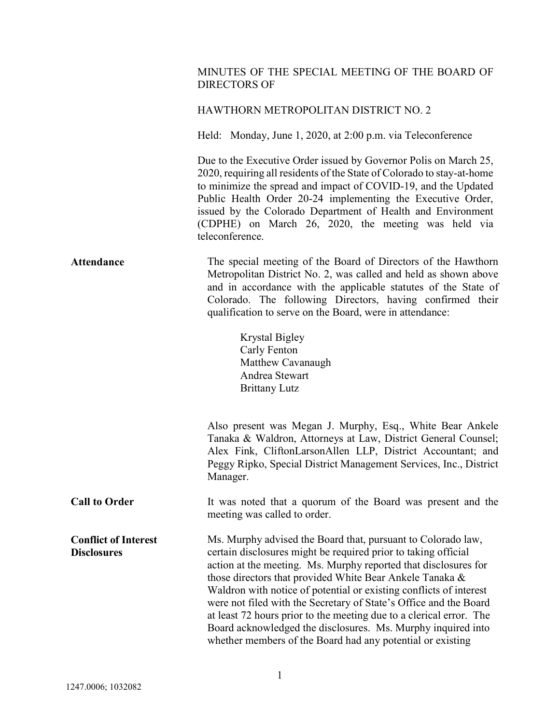## MINUTES OF THE SPECIAL MEETING OF THE BOARD OF DIRECTORS OF

## HAWTHORN METROPOLITAN DISTRICT NO. 2

Held: Monday, June 1, 2020, at 2:00 p.m. via Teleconference

 Due to the Executive Order issued by Governor Polis on March 25, 2020, requiring all residents of the State of Colorado to stay-at-home to minimize the spread and impact of COVID-19, and the Updated Public Health Order 20-24 implementing the Executive Order, issued by the Colorado Department of Health and Environment (CDPHE) on March 26, 2020, the meeting was held via teleconference.

Attendance The special meeting of the Board of Directors of the Hawthorn Metropolitan District No. 2, was called and held as shown above and in accordance with the applicable statutes of the State of Colorado. The following Directors, having confirmed their qualification to serve on the Board, were in attendance:

> Krystal Bigley Carly Fenton Matthew Cavanaugh Andrea Stewart Brittany Lutz

Also present was Megan J. Murphy, Esq., White Bear Ankele Tanaka & Waldron, Attorneys at Law, District General Counsel; Alex Fink, CliftonLarsonAllen LLP, District Accountant; and Peggy Ripko, Special District Management Services, Inc., District Manager.

Call to Order It was noted that a quorum of the Board was present and the meeting was called to order.

Conflict of Interest **Disclosures** Ms. Murphy advised the Board that, pursuant to Colorado law, certain disclosures might be required prior to taking official action at the meeting. Ms. Murphy reported that disclosures for those directors that provided White Bear Ankele Tanaka & Waldron with notice of potential or existing conflicts of interest were not filed with the Secretary of State's Office and the Board at least 72 hours prior to the meeting due to a clerical error. The Board acknowledged the disclosures. Ms. Murphy inquired into whether members of the Board had any potential or existing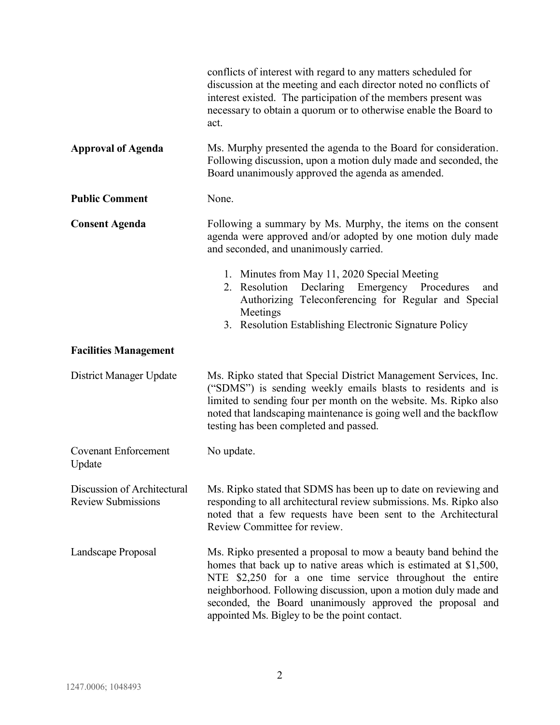|                                                          | conflicts of interest with regard to any matters scheduled for<br>discussion at the meeting and each director noted no conflicts of<br>interest existed. The participation of the members present was<br>necessary to obtain a quorum or to otherwise enable the Board to<br>act.                                                                                                  |
|----------------------------------------------------------|------------------------------------------------------------------------------------------------------------------------------------------------------------------------------------------------------------------------------------------------------------------------------------------------------------------------------------------------------------------------------------|
| <b>Approval of Agenda</b>                                | Ms. Murphy presented the agenda to the Board for consideration.<br>Following discussion, upon a motion duly made and seconded, the<br>Board unanimously approved the agenda as amended.                                                                                                                                                                                            |
| <b>Public Comment</b>                                    | None.                                                                                                                                                                                                                                                                                                                                                                              |
| <b>Consent Agenda</b>                                    | Following a summary by Ms. Murphy, the items on the consent<br>agenda were approved and/or adopted by one motion duly made<br>and seconded, and unanimously carried.                                                                                                                                                                                                               |
|                                                          | 1. Minutes from May 11, 2020 Special Meeting<br>2. Resolution Declaring Emergency Procedures<br>and<br>Authorizing Teleconferencing for Regular and Special<br>Meetings<br>3. Resolution Establishing Electronic Signature Policy                                                                                                                                                  |
| <b>Facilities Management</b>                             |                                                                                                                                                                                                                                                                                                                                                                                    |
| District Manager Update                                  | Ms. Ripko stated that Special District Management Services, Inc.<br>("SDMS") is sending weekly emails blasts to residents and is<br>limited to sending four per month on the website. Ms. Ripko also<br>noted that landscaping maintenance is going well and the backflow<br>testing has been completed and passed.                                                                |
| <b>Covenant Enforcement</b><br>Update                    | No update.                                                                                                                                                                                                                                                                                                                                                                         |
| Discussion of Architectural<br><b>Review Submissions</b> | Ms. Ripko stated that SDMS has been up to date on reviewing and<br>responding to all architectural review submissions. Ms. Ripko also<br>noted that a few requests have been sent to the Architectural<br>Review Committee for review.                                                                                                                                             |
| Landscape Proposal                                       | Ms. Ripko presented a proposal to mow a beauty band behind the<br>homes that back up to native areas which is estimated at $$1,500$ ,<br>NTE \$2,250 for a one time service throughout the entire<br>neighborhood. Following discussion, upon a motion duly made and<br>seconded, the Board unanimously approved the proposal and<br>appointed Ms. Bigley to be the point contact. |